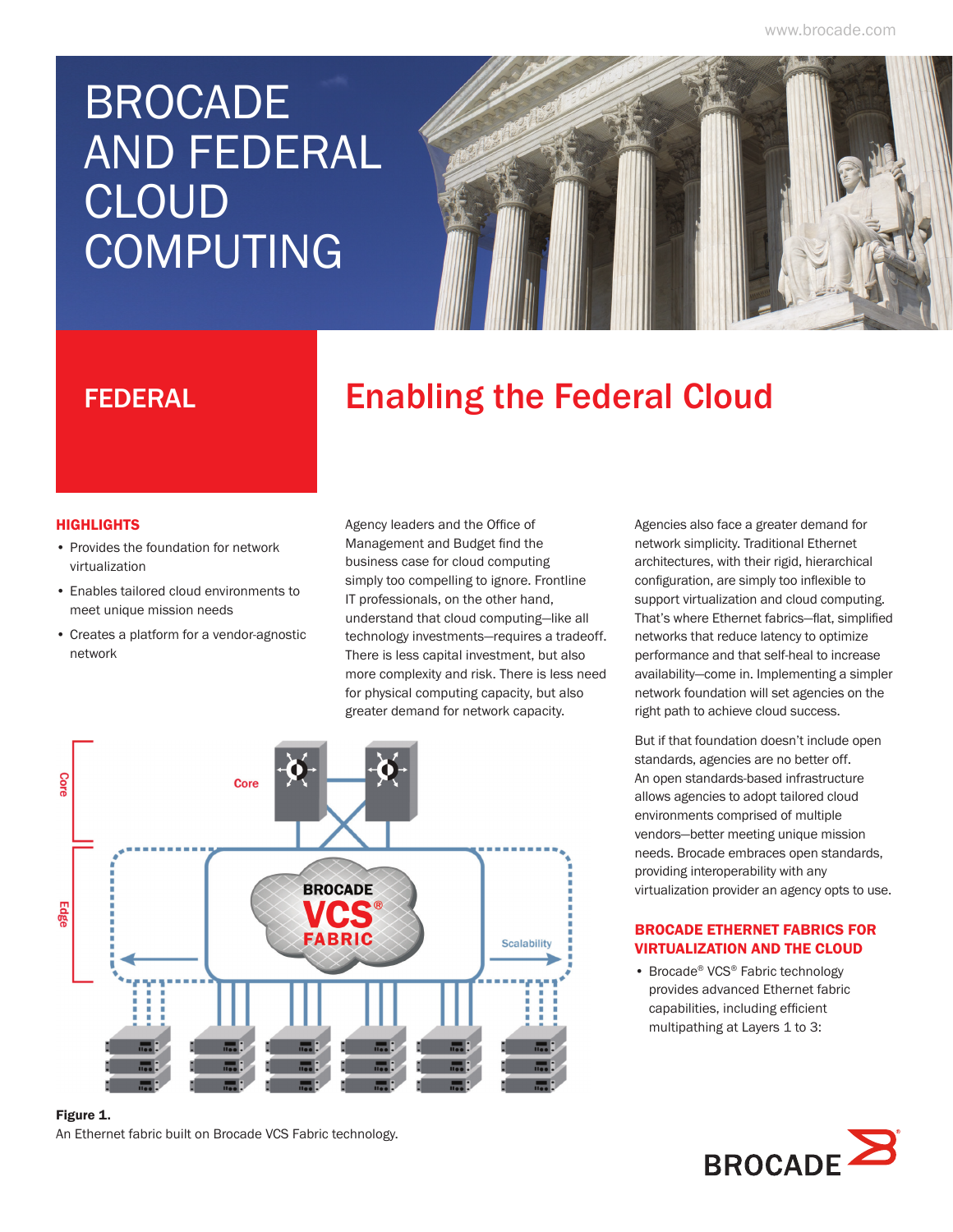www.brocade.com

# BROCADE AND FEDERAL CLOUD **COMPUTING**



## **FEDERAL Enabling the Federal Cloud**

#### **HIGHLIGHTS**

- Provides the foundation for network virtualization
- Enables tailored cloud environments to meet unique mission needs
- Creates a platform for a vendor-agnostic network

Agency leaders and the Office of Management and Budget find the business case for cloud computing simply too compelling to ignore. Frontline IT professionals, on the other hand, understand that cloud computing—like all technology investments—requires a tradeoff. There is less capital investment, but also more complexity and risk. There is less need for physical computing capacity, but also greater demand for network capacity.



#### Figure 1.

An Ethernet fabric built on Brocade VCS Fabric technology.

Agencies also face a greater demand for network simplicity. Traditional Ethernet architectures, with their rigid, hierarchical configuration, are simply too inflexible to support virtualization and cloud computing. That's where Ethernet fabrics—flat, simplified networks that reduce latency to optimize performance and that self-heal to increase availability—come in. Implementing a simpler network foundation will set agencies on the right path to achieve cloud success.

But if that foundation doesn't include open standards, agencies are no better off. An open standards-based infrastructure allows agencies to adopt tailored cloud environments comprised of multiple vendors—better meeting unique mission needs. Brocade embraces open standards, providing interoperability with any virtualization provider an agency opts to use.

### BROCADE ETHERNET FABRICS FOR VIRTUALIZATION AND THE CLOUD

• Brocade® VCS® Fabric technology provides advanced Ethernet fabric capabilities, including efficient multipathing at Layers 1 to 3: